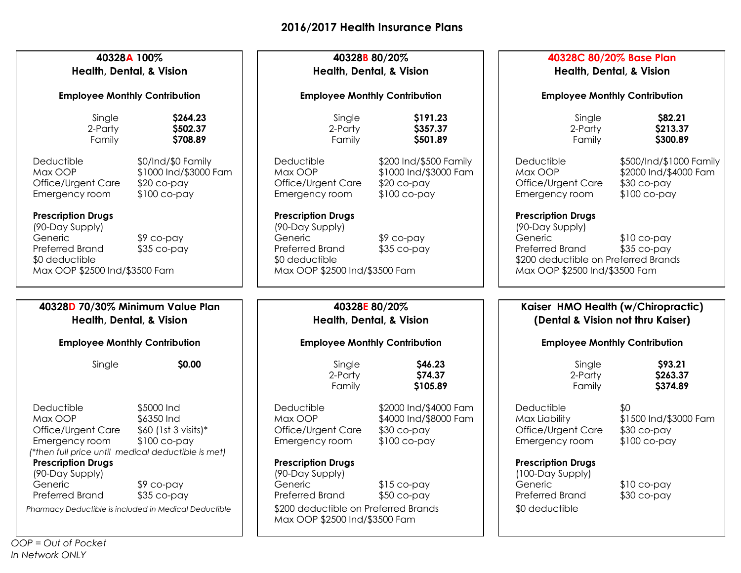| 40328A 100%<br><b>Health, Dental, &amp; Vision</b><br><b>Employee Monthly Contribution</b>                                                                                     |                                                                                   | 40328B 80/20%<br><b>Health, Dental, &amp; Vision</b><br><b>Employee Monthly Contribution</b>                                    |                                                                                                 | 40328C 80/20% Base Plan<br><b>Health, Dental, &amp; Vision</b><br><b>Employee Monthly Contribution</b>                                                 |                                                                                   |
|--------------------------------------------------------------------------------------------------------------------------------------------------------------------------------|-----------------------------------------------------------------------------------|---------------------------------------------------------------------------------------------------------------------------------|-------------------------------------------------------------------------------------------------|--------------------------------------------------------------------------------------------------------------------------------------------------------|-----------------------------------------------------------------------------------|
|                                                                                                                                                                                |                                                                                   |                                                                                                                                 |                                                                                                 |                                                                                                                                                        |                                                                                   |
| Deductible<br>Max OOP<br>Office/Urgent Care<br>Emergency room<br><b>Prescription Drugs</b>                                                                                     | \$0/Ind/\$0 Family<br>\$1000 Ind/\$3000 Fam<br>$$20$ co-pay<br>$$100$ co-pay      | Deductible<br>Max OOP<br>Office/Urgent Care<br>Emergency room<br><b>Prescription Drugs</b>                                      | \$200 Ind/\$500 Family<br>\$1000 Ind/\$3000 Fam<br>$$20$ co-pay<br>$$100$ co-pay                | Deductible<br>Max OOP<br>Office/Urgent Care<br>Emergency room<br><b>Prescription Drugs</b>                                                             | \$500/Ind/\$1000 Family<br>\$2000 Ind/\$4000 Fam<br>$$30$ co-pay<br>$$100$ co-pay |
| (90-Day Supply)<br>Generic<br>$$9$ co-pay<br>Preferred Brand<br>$$35$ co-pay<br>\$0 deductible<br>Max OOP \$2500 Ind/\$3500 Fam                                                |                                                                                   | (90-Day Supply)<br>Generic<br>$$9$ co-pay<br>Preferred Brand<br>$$35$ co-pay<br>\$0 deductible<br>Max OOP \$2500 Ind/\$3500 Fam |                                                                                                 | (90-Day Supply)<br>Generic<br>$$10$ co-pay<br>Preferred Brand<br>$$35$ co-pay<br>\$200 deductible on Preferred Brands<br>Max OOP \$2500 Ind/\$3500 Fam |                                                                                   |
| 40328D 70/30% Minimum Value Plan                                                                                                                                               |                                                                                   | 40328E 80/20%                                                                                                                   |                                                                                                 | Kaiser HMO Health (w/Chiropractic)                                                                                                                     |                                                                                   |
| <b>Health, Dental, &amp; Vision</b>                                                                                                                                            |                                                                                   | Health, Dental, & Vision                                                                                                        |                                                                                                 | (Dental & Vision not thru Kaiser)                                                                                                                      |                                                                                   |
| <b>Employee Monthly Contribution</b>                                                                                                                                           |                                                                                   | <b>Employee Monthly Contribution</b>                                                                                            |                                                                                                 | <b>Employee Monthly Contribution</b>                                                                                                                   |                                                                                   |
| Single                                                                                                                                                                         | \$0.00                                                                            | Single<br>2-Party<br>Family                                                                                                     | \$46.23<br>\$74.37<br>\$105.89                                                                  | Single<br>2-Party<br>Family                                                                                                                            | \$93.21<br>\$263.37<br>\$374.89                                                   |
| Deductible<br>Max OOP<br>Office/Urgent Care<br>Emergency room<br>(*then full price until medical deductible is met)<br><b>Prescription Drugs</b><br>(90-Day Supply)<br>Generic | \$5000 Ind<br>\$6350 Ind<br>$$60$ (1st 3 visits)*<br>$$100$ co-pay<br>$$9$ co-pay | Deductible<br>Max OOP<br>Office/Urgent Care<br>Emergency room<br><b>Prescription Drugs</b><br>(90-Day Supply)<br>Generic        | \$2000 Ind/\$4000 Fam<br>\$4000 Ind/\$8000 Fam<br>$$30$ co-pay<br>$$100$ co-pay<br>$$15$ co-pay | Deductible<br>Max Liability<br>Office/Urgent Care<br>Emergency room<br><b>Prescription Drugs</b><br>(100-Day Supply)<br>Generic                        | \$0<br>\$1500 Ind/\$3000 Fam<br>$$30$ co-pay<br>$$100$ co-pay<br>$$10$ co-pay     |
| Preferred Brand<br>Pharmacy Deductible is included in Medical Deductible                                                                                                       | \$35 co-pay                                                                       | Preferred Brand<br>$$50$ co-pay<br>\$200 deductible on Preferred Brands<br>Max OOP \$2500 Ind/\$3500 Fam                        |                                                                                                 | Preferred Brand<br>\$0 deductible                                                                                                                      | $$30$ co-pay                                                                      |

*OOP = Out of Pocket In Network ONLY*